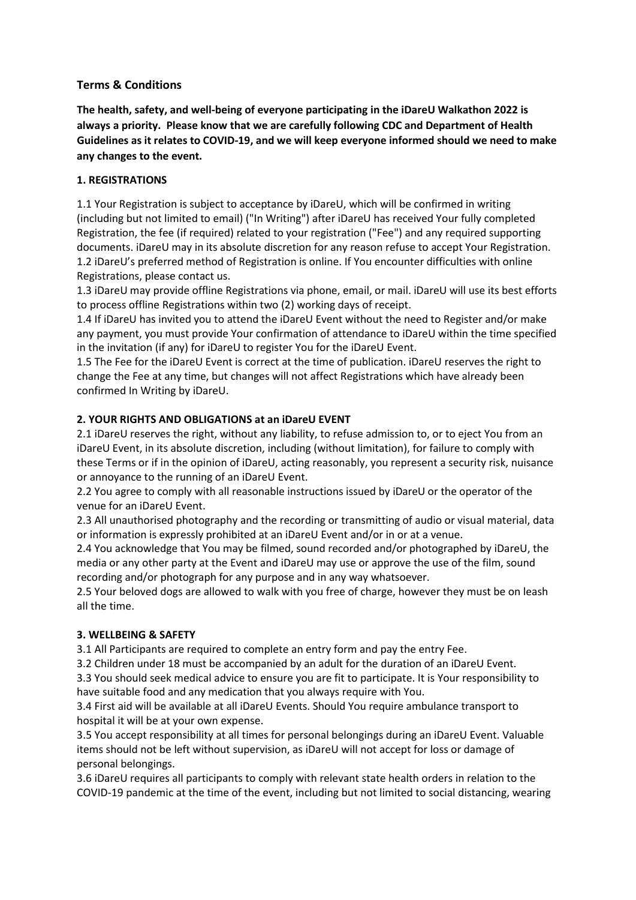# **Terms & Conditions**

**The health, safety, and well-being of everyone participating in the iDareU Walkathon 2022 is always a priority. Please know that we are carefully following CDC and Department of Health Guidelines as it relates to COVID-19, and we will keep everyone informed should we need to make any changes to the event.**

# **1. REGISTRATIONS**

1.1 Your Registration is subject to acceptance by iDareU, which will be confirmed in writing (including but not limited to email) ("In Writing") after iDareU has received Your fully completed Registration, the fee (if required) related to your registration ("Fee") and any required supporting documents. iDareU may in its absolute discretion for any reason refuse to accept Your Registration. 1.2 iDareU's preferred method of Registration is online. If You encounter difficulties with online Registrations, please contact us.

1.3 iDareU may provide offline Registrations via phone, email, or mail. iDareU will use its best efforts to process offline Registrations within two (2) working days of receipt.

1.4 If iDareU has invited you to attend the iDareU Event without the need to Register and/or make any payment, you must provide Your confirmation of attendance to iDareU within the time specified in the invitation (if any) for iDareU to register You for the iDareU Event.

1.5 The Fee for the iDareU Event is correct at the time of publication. iDareU reserves the right to change the Fee at any time, but changes will not affect Registrations which have already been confirmed In Writing by iDareU.

# **2. YOUR RIGHTS AND OBLIGATIONS at an iDareU EVENT**

2.1 iDareU reserves the right, without any liability, to refuse admission to, or to eject You from an iDareU Event, in its absolute discretion, including (without limitation), for failure to comply with these Terms or if in the opinion of iDareU, acting reasonably, you represent a security risk, nuisance or annoyance to the running of an iDareU Event.

2.2 You agree to comply with all reasonable instructions issued by iDareU or the operator of the venue for an iDareU Event.

2.3 All unauthorised photography and the recording or transmitting of audio or visual material, data or information is expressly prohibited at an iDareU Event and/or in or at a venue.

2.4 You acknowledge that You may be filmed, sound recorded and/or photographed by iDareU, the media or any other party at the Event and iDareU may use or approve the use of the film, sound recording and/or photograph for any purpose and in any way whatsoever.

2.5 Your beloved dogs are allowed to walk with you free of charge, however they must be on leash all the time.

### **3. WELLBEING & SAFETY**

3.1 All Participants are required to complete an entry form and pay the entry Fee.

3.2 Children under 18 must be accompanied by an adult for the duration of an iDareU Event.

3.3 You should seek medical advice to ensure you are fit to participate. It is Your responsibility to have suitable food and any medication that you always require with You.

3.4 First aid will be available at all iDareU Events. Should You require ambulance transport to hospital it will be at your own expense.

3.5 You accept responsibility at all times for personal belongings during an iDareU Event. Valuable items should not be left without supervision, as iDareU will not accept for loss or damage of personal belongings.

3.6 iDareU requires all participants to comply with relevant state health orders in relation to the COVID-19 pandemic at the time of the event, including but not limited to social distancing, wearing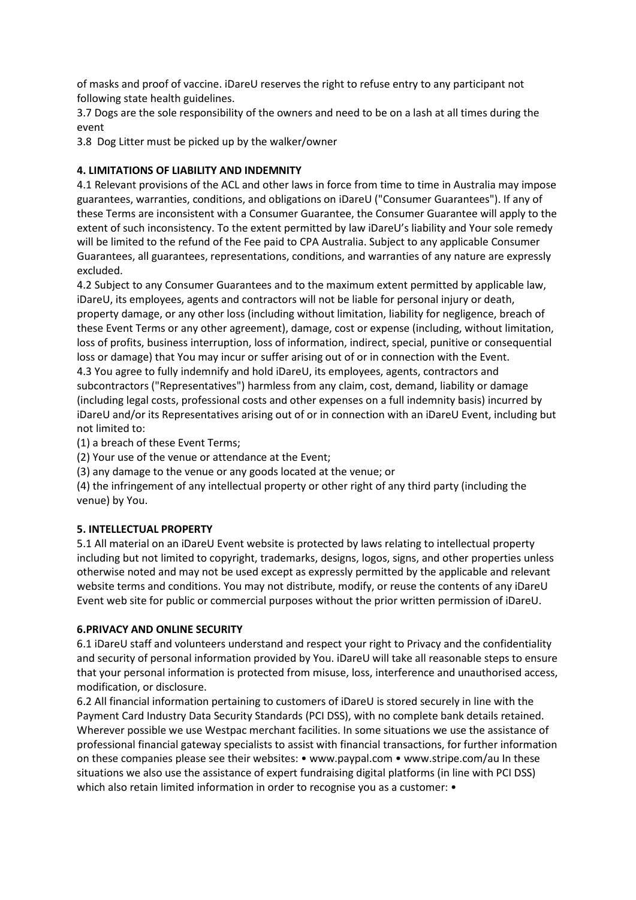of masks and proof of vaccine. iDareU reserves the right to refuse entry to any participant not following state health guidelines.

3.7 Dogs are the sole responsibility of the owners and need to be on a lash at all times during the event

3.8 Dog Litter must be picked up by the walker/owner

# **4. LIMITATIONS OF LIABILITY AND INDEMNITY**

4.1 Relevant provisions of the ACL and other laws in force from time to time in Australia may impose guarantees, warranties, conditions, and obligations on iDareU ("Consumer Guarantees"). If any of these Terms are inconsistent with a Consumer Guarantee, the Consumer Guarantee will apply to the extent of such inconsistency. To the extent permitted by law iDareU's liability and Your sole remedy will be limited to the refund of the Fee paid to CPA Australia. Subject to any applicable Consumer Guarantees, all guarantees, representations, conditions, and warranties of any nature are expressly excluded.

4.2 Subject to any Consumer Guarantees and to the maximum extent permitted by applicable law, iDareU, its employees, agents and contractors will not be liable for personal injury or death, property damage, or any other loss (including without limitation, liability for negligence, breach of these Event Terms or any other agreement), damage, cost or expense (including, without limitation, loss of profits, business interruption, loss of information, indirect, special, punitive or consequential loss or damage) that You may incur or suffer arising out of or in connection with the Event. 4.3 You agree to fully indemnify and hold iDareU, its employees, agents, contractors and subcontractors ("Representatives") harmless from any claim, cost, demand, liability or damage (including legal costs, professional costs and other expenses on a full indemnity basis) incurred by iDareU and/or its Representatives arising out of or in connection with an iDareU Event, including but not limited to:

(1) a breach of these Event Terms;

(2) Your use of the venue or attendance at the Event;

(3) any damage to the venue or any goods located at the venue; or

(4) the infringement of any intellectual property or other right of any third party (including the venue) by You.

### **5. INTELLECTUAL PROPERTY**

5.1 All material on an iDareU Event website is protected by laws relating to intellectual property including but not limited to copyright, trademarks, designs, logos, signs, and other properties unless otherwise noted and may not be used except as expressly permitted by the applicable and relevant website terms and conditions. You may not distribute, modify, or reuse the contents of any iDareU Event web site for public or commercial purposes without the prior written permission of iDareU.

### **6.PRIVACY AND ONLINE SECURITY**

6.1 iDareU staff and volunteers understand and respect your right to Privacy and the confidentiality and security of personal information provided by You. iDareU will take all reasonable steps to ensure that your personal information is protected from misuse, loss, interference and unauthorised access, modification, or disclosure.

6.2 All financial information pertaining to customers of iDareU is stored securely in line with the Payment Card Industry Data Security Standards (PCI DSS), with no complete bank details retained. Wherever possible we use Westpac merchant facilities. In some situations we use the assistance of professional financial gateway specialists to assist with financial transactions, for further information on these companies please see their websites: • www.paypal.com • www.stripe.com/au In these situations we also use the assistance of expert fundraising digital platforms (in line with PCI DSS) which also retain limited information in order to recognise you as a customer: •